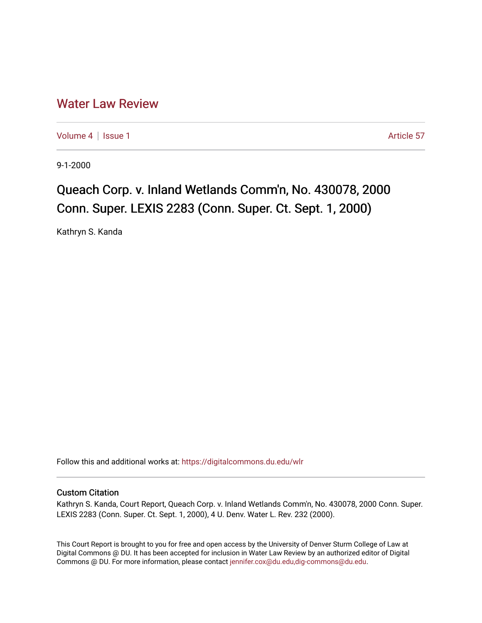## [Water Law Review](https://digitalcommons.du.edu/wlr)

[Volume 4](https://digitalcommons.du.edu/wlr/vol4) | [Issue 1](https://digitalcommons.du.edu/wlr/vol4/iss1) Article 57

9-1-2000

## Queach Corp. v. Inland Wetlands Comm'n, No. 430078, 2000 Conn. Super. LEXIS 2283 (Conn. Super. Ct. Sept. 1, 2000)

Kathryn S. Kanda

Follow this and additional works at: [https://digitalcommons.du.edu/wlr](https://digitalcommons.du.edu/wlr?utm_source=digitalcommons.du.edu%2Fwlr%2Fvol4%2Fiss1%2F57&utm_medium=PDF&utm_campaign=PDFCoverPages) 

## Custom Citation

Kathryn S. Kanda, Court Report, Queach Corp. v. Inland Wetlands Comm'n, No. 430078, 2000 Conn. Super. LEXIS 2283 (Conn. Super. Ct. Sept. 1, 2000), 4 U. Denv. Water L. Rev. 232 (2000).

This Court Report is brought to you for free and open access by the University of Denver Sturm College of Law at Digital Commons @ DU. It has been accepted for inclusion in Water Law Review by an authorized editor of Digital Commons @ DU. For more information, please contact [jennifer.cox@du.edu,dig-commons@du.edu.](mailto:jennifer.cox@du.edu,dig-commons@du.edu)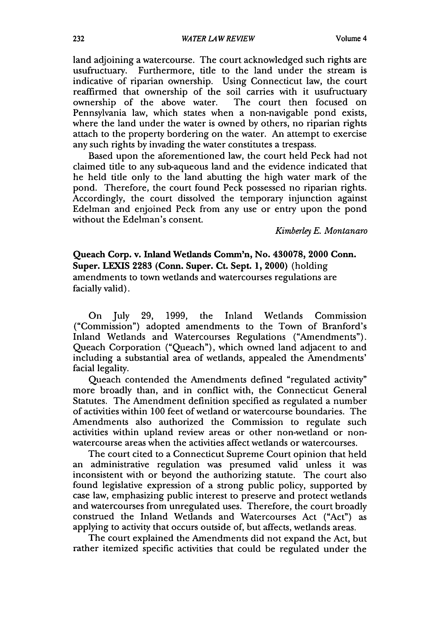land adjoining a watercourse. The court acknowledged such rights are usufructuary. Furthermore, title to the land under the stream is indicative of riparian ownership. Using Connecticut law, the court reaffirmed that ownership of the soil carries with it usufructuary ownership of the above water. The court then focused on Pennsylvania law, which states when a non-navigable pond exists, where the land under the water is owned by others, no riparian rights attach to the property bordering on the water. An attempt to exercise any such rights by invading the water constitutes a trespass.

Based upon the aforementioned law, the court held Peck had not claimed title to any sub-aqueous land and the evidence indicated that he held title only to the land abutting the high water mark of the pond. Therefore, the court found Peck possessed no riparian rights. Accordingly, the court dissolved the temporary injunction against Edelman and enjoined Peck from any use or entry upon the pond without the Edelman's consent.

*Kimberley E. Montanaro*

**Queach Corp. v. Inland Wetlands Comm'n, No. 430078, 2000 Conn. Super. LEXIS 2283 (Conn. Super. Ct. Sept. 1, 2000) (holding** amendments to town wetlands and watercourses regulations are facially valid).

On July **29, 1999,** the Inland Wetlands Commission ("Commission") adopted amendments to the Town of Branford's Inland Wetlands and Watercourses Regulations ("Amendments"). Queach Corporation ("Queach"), which owned land adjacent to and including a substantial area of wetlands, appealed the Amendments' facial legality.

Queach contended the Amendments defined "regulated activity" more broadly than, and in conflict with, the Connecticut General Statutes. The Amendment definition specified as regulated a number of activities within 100 feet of wetland or watercourse boundaries. The Amendments also authorized the Commission to regulate such activities within upland review areas or other non-wetland or nonwatercourse areas when the activities affect wetlands or watercourses.

The court cited to a Connecticut Supreme Court opinion that held an administrative regulation was presumed valid unless it was inconsistent with or beyond the authorizing statute. The court also found legislative expression of a strong public policy, supported by case law, emphasizing public interest to preserve and protect wetlands and watercourses from unregulated uses. Therefore, the court broadly construed the Inland Wetlands and Watercourses Act ("Act") as applying to activity that occurs outside of, but affects, wetlands areas.

The court explained the Amendments did not expand the Act, but rather itemized specific activities that could be regulated under the